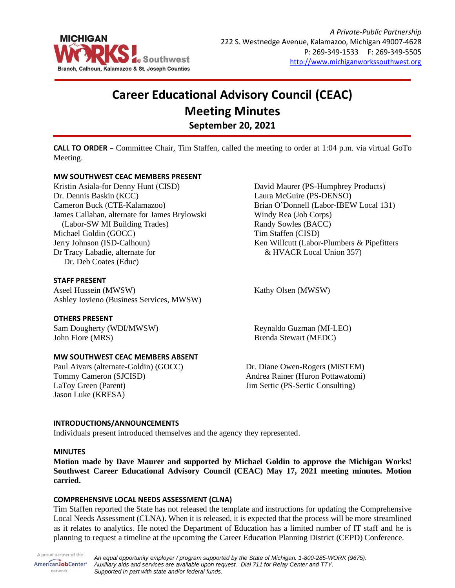

# **Career Educational Advisory Council (CEAC) Meeting Minutes September 20, 2021**

**CALL TO ORDER** – Committee Chair, Tim Staffen, called the meeting to order at 1:04 p.m. via virtual GoTo Meeting.

# **MW SOUTHWEST CEAC MEMBERS PRESENT**

Kristin Asiala-for Denny Hunt (CISD) Dr. Dennis Baskin (KCC) Cameron Buck (CTE-Kalamazoo) James Callahan, alternate for James Brylowski (Labor-SW MI Building Trades) Michael Goldin (GOCC) Jerry Johnson (ISD-Calhoun) Dr Tracy Labadie, alternate for Dr. Deb Coates (Educ)

## **STAFF PRESENT**

Aseel Hussein (MWSW) Ashley Iovieno (Business Services, MWSW)

## **OTHERS PRESENT**

Sam Dougherty (WDI/MWSW) John Fiore (MRS)

## **MW SOUTHWEST CEAC MEMBERS ABSENT**

Paul Aivars (alternate-Goldin) (GOCC) Tommy Cameron (SJCISD) LaToy Green (Parent) Jason Luke (KRESA)

David Maurer (PS-Humphrey Products) Laura McGuire (PS-DENSO) Brian O'Donnell (Labor-IBEW Local 131) Windy Rea (Job Corps) Randy Sowles (BACC) Tim Staffen (CISD) Ken Willcutt (Labor-Plumbers & Pipefitters & HVACR Local Union 357)

Kathy Olsen (MWSW)

Reynaldo Guzman (MI-LEO) Brenda Stewart (MEDC)

Dr. Diane Owen-Rogers (MiSTEM) Andrea Rainer (Huron Pottawatomi) Jim Sertic (PS-Sertic Consulting)

## **INTRODUCTIONS/ANNOUNCEMENTS**

Individuals present introduced themselves and the agency they represented.

#### **MINUTES**

**Motion made by Dave Maurer and supported by Michael Goldin to approve the Michigan Works! Southwest Career Educational Advisory Council (CEAC) May 17, 2021 meeting minutes. Motion carried.**

## **COMPREHENSIVE LOCAL NEEDS ASSESSMENT (CLNA)**

Tim Staffen reported the State has not released the template and instructions for updating the Comprehensive Local Needs Assessment (CLNA). When it is released, it is expected that the process will be more streamlined as it relates to analytics. He noted the Department of Education has a limited number of IT staff and he is planning to request a timeline at the upcoming the Career Education Planning District (CEPD) Conference.

A proud partner of the *An equal opportunity employer / program supported by the State of Michigan. 1-800-285-WORK (9675).* AmericanJobCenter<sup>®</sup> *Auxiliary aids and services are available upon request. Dial 711 for Relay Center and TTY.* network *Supported in part with state and/or federal funds.*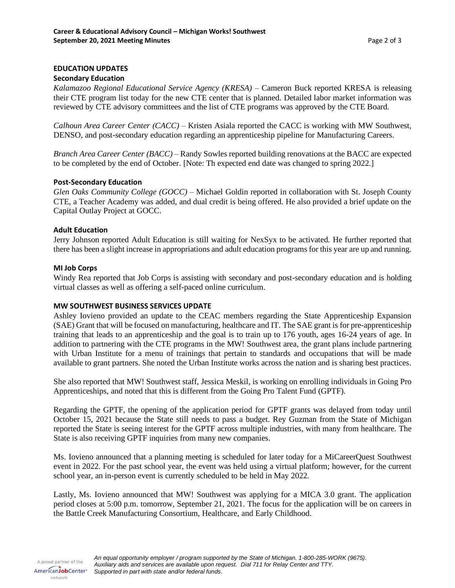# **EDUCATION UPDATES**

## **Secondary Education**

*Kalamazoo Regional Educational Service Agency (KRESA)* – Cameron Buck reported KRESA is releasing their CTE program list today for the new CTE center that is planned. Detailed labor market information was reviewed by CTE advisory committees and the list of CTE programs was approved by the CTE Board.

*Calhoun Area Career Center (CACC)* – Kristen Asiala reported the CACC is working with MW Southwest, DENSO, and post-secondary education regarding an apprenticeship pipeline for Manufacturing Careers.

*Branch Area Career Center (BACC)* – Randy Sowles reported building renovations at the BACC are expected to be completed by the end of October. [Note: Th expected end date was changed to spring 2022.]

## **Post-Secondary Education**

*Glen Oaks Community College (GOCC)* – Michael Goldin reported in collaboration with St. Joseph County CTE, a Teacher Academy was added, and dual credit is being offered. He also provided a brief update on the Capital Outlay Project at GOCC.

## **Adult Education**

Jerry Johnson reported Adult Education is still waiting for NexSyx to be activated. He further reported that there has been a slight increase in appropriations and adult education programs for this year are up and running.

## **MI Job Corps**

Windy Rea reported that Job Corps is assisting with secondary and post-secondary education and is holding virtual classes as well as offering a self-paced online curriculum.

## **MW SOUTHWEST BUSINESS SERVICES UPDATE**

Ashley Iovieno provided an update to the CEAC members regarding the State Apprenticeship Expansion (SAE) Grant that will be focused on manufacturing, healthcare and IT. The SAE grant is for pre-apprenticeship training that leads to an apprenticeship and the goal is to train up to 176 youth, ages 16-24 years of age. In addition to partnering with the CTE programs in the MW! Southwest area, the grant plans include partnering with Urban Institute for a menu of trainings that pertain to standards and occupations that will be made available to grant partners. She noted the Urban Institute works across the nation and is sharing best practices.

She also reported that MW! Southwest staff, Jessica Meskil, is working on enrolling individuals in Going Pro Apprenticeships, and noted that this is different from the Going Pro Talent Fund (GPTF).

Regarding the GPTF, the opening of the application period for GPTF grants was delayed from today until October 15, 2021 because the State still needs to pass a budget. Rey Guzman from the State of Michigan reported the State is seeing interest for the GPTF across multiple industries, with many from healthcare. The State is also receiving GPTF inquiries from many new companies.

Ms. Iovieno announced that a planning meeting is scheduled for later today for a MiCareerQuest Southwest event in 2022. For the past school year, the event was held using a virtual platform; however, for the current school year, an in-person event is currently scheduled to be held in May 2022.

Lastly, Ms. Iovieno announced that MW! Southwest was applying for a MICA 3.0 grant. The application period closes at 5:00 p.m. tomorrow, September 21, 2021. The focus for the application will be on careers in the Battle Creek Manufacturing Consortium, Healthcare, and Early Childhood.